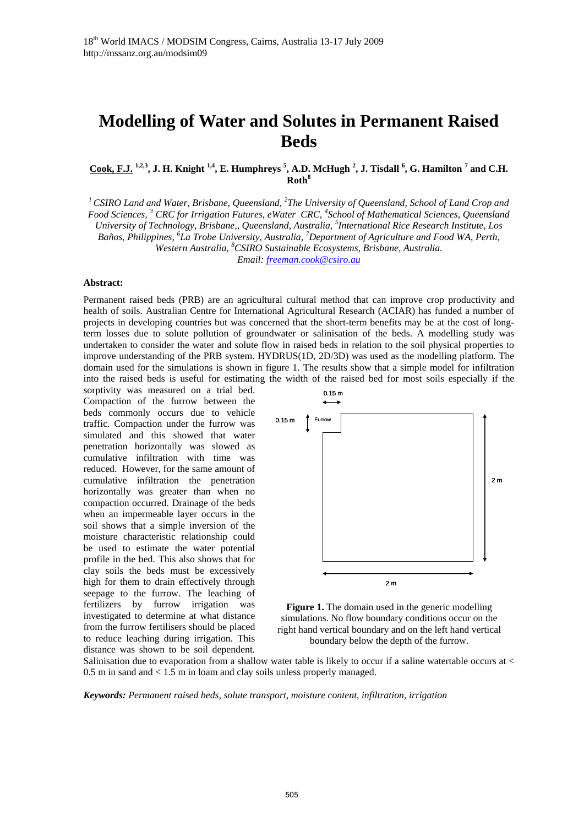# **Modelling of Water and Solutes in Permanent Raised Beds**

Cook, F.J.<sup>1,2,3</sup>, J. H. Knight<sup>1,4</sup>, E. Humphreys<sup>5</sup>, A.D. McHugh<sup>2</sup>, J. Tisdall<sup>6</sup>, G. Hamilton<sup>7</sup> and C.H. **Roth<sup>8</sup>**

<sup>1</sup> CSIRO Land and Water, Brisbane, Queensland, <sup>2</sup>The University of Queensland, School of Land Crop and *Food Sciences, 3 CRC for Irrigation Futures, eWater CRC, 4 School of Mathematical Sciences, Queensland University of Technology, Brisbane,, Queensland, Australia, 5 International Rice Research Institute, Los Baños, Philippines, <sup>6</sup> La Trobe University, Australia, <sup>7</sup> Department of Agriculture and Food WA, Perth, Western Australia, <sup>8</sup> CSIRO Sustainable Ecosystems, Brisbane, Australia.* 

*Email: freeman.cook@csiro.au* 

#### **Abstract:**

Permanent raised beds (PRB) are an agricultural cultural method that can improve crop productivity and health of soils. Australian Centre for International Agricultural Research (ACIAR) has funded a number of projects in developing countries but was concerned that the short-term benefits may be at the cost of longterm losses due to solute pollution of groundwater or salinisation of the beds. A modelling study was undertaken to consider the water and solute flow in raised beds in relation to the soil physical properties to improve understanding of the PRB system. HYDRUS(1D, 2D/3D) was used as the modelling platform. The domain used for the simulations is shown in figure 1. The results show that a simple model for infiltration into the raised beds is useful for estimating the width of the raised bed for most soils especially if the

sorptivity was measured on a trial bed. Compaction of the furrow between the beds commonly occurs due to vehicle traffic. Compaction under the furrow was simulated and this showed that water penetration horizontally was slowed as cumulative infiltration with time was reduced. However, for the same amount of cumulative infiltration the penetration horizontally was greater than when no compaction occurred. Drainage of the beds when an impermeable layer occurs in the soil shows that a simple inversion of the moisture characteristic relationship could be used to estimate the water potential profile in the bed. This also shows that for clay soils the beds must be excessively high for them to drain effectively through seepage to the furrow. The leaching of fertilizers by furrow irrigation was investigated to determine at what distance from the furrow fertilisers should be placed to reduce leaching during irrigation. This distance was shown to be soil dependent.



**Figure 1.** The domain used in the generic modelling simulations. No flow boundary conditions occur on the right hand vertical boundary and on the left hand vertical boundary below the depth of the furrow.

Salinisation due to evaporation from a shallow water table is likely to occur if a saline watertable occurs at  $\lt$ 0.5 m in sand and < 1.5 m in loam and clay soils unless properly managed.

*Keywords: Permanent raised beds, solute transport, moisture content, infiltration, irrigation*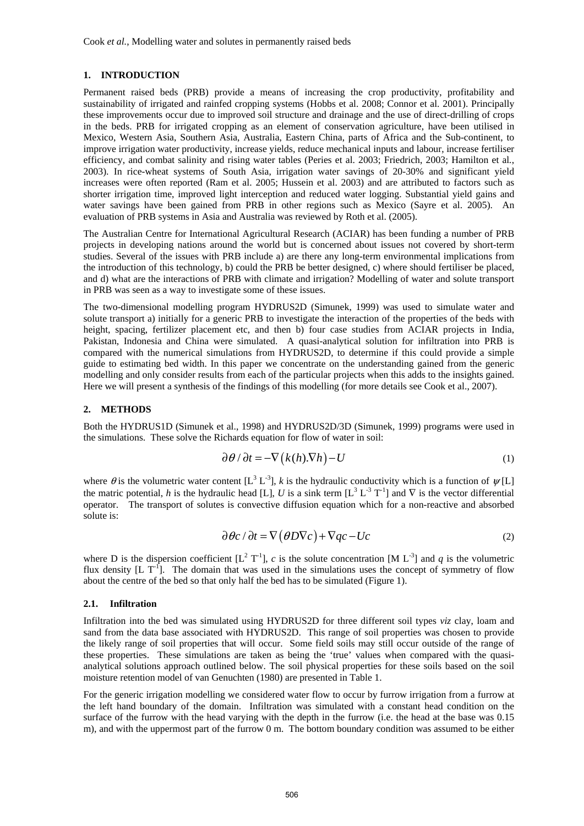## **1. INTRODUCTION**

Permanent raised beds (PRB) provide a means of increasing the crop productivity, profitability and sustainability of irrigated and rainfed cropping systems (Hobbs et al. 2008; Connor et al. 2001). Principally these improvements occur due to improved soil structure and drainage and the use of direct-drilling of crops in the beds. PRB for irrigated cropping as an element of conservation agriculture, have been utilised in Mexico, Western Asia, Southern Asia, Australia, Eastern China, parts of Africa and the Sub-continent, to improve irrigation water productivity, increase yields, reduce mechanical inputs and labour, increase fertiliser efficiency, and combat salinity and rising water tables (Peries et al. 2003; Friedrich, 2003; Hamilton et al*.*, 2003). In rice-wheat systems of South Asia, irrigation water savings of 20-30% and significant yield increases were often reported (Ram et al. 2005; Hussein et al. 2003) and are attributed to factors such as shorter irrigation time, improved light interception and reduced water logging. Substantial yield gains and water savings have been gained from PRB in other regions such as Mexico (Sayre et al. 2005). An evaluation of PRB systems in Asia and Australia was reviewed by Roth et al. (2005).

The Australian Centre for International Agricultural Research (ACIAR) has been funding a number of PRB projects in developing nations around the world but is concerned about issues not covered by short-term studies. Several of the issues with PRB include a) are there any long-term environmental implications from the introduction of this technology, b) could the PRB be better designed, c) where should fertiliser be placed, and d) what are the interactions of PRB with climate and irrigation? Modelling of water and solute transport in PRB was seen as a way to investigate some of these issues.

The two-dimensional modelling program HYDRUS2D (Simunek, 1999) was used to simulate water and solute transport a) initially for a generic PRB to investigate the interaction of the properties of the beds with height, spacing, fertilizer placement etc, and then b) four case studies from ACIAR projects in India, Pakistan, Indonesia and China were simulated. A quasi-analytical solution for infiltration into PRB is compared with the numerical simulations from HYDRUS2D, to determine if this could provide a simple guide to estimating bed width. In this paper we concentrate on the understanding gained from the generic modelling and only consider results from each of the particular projects when this adds to the insights gained. Here we will present a synthesis of the findings of this modelling (for more details see Cook et al., 2007).

## **2. METHODS**

Both the HYDRUS1D (Simunek et al., 1998) and HYDRUS2D/3D (Simunek, 1999) programs were used in the simulations. These solve the Richards equation for flow of water in soil:

$$
\partial \theta / \partial t = -\nabla \left( k(h) \cdot \nabla h \right) - U \tag{1}
$$

where  $\theta$  is the volumetric water content [L<sup>3</sup> L<sup>-3</sup>], *k* is the hydraulic conductivity which is a function of  $\psi$ [L] the matric potential, *h* is the hydraulic head [L], *U* is a sink term  $[L^3 L^{3} T^{1}]$  and  $\nabla$  is the vector differential operator. The transport of solutes is convective diffusion equation which for a non-reactive and absorbed solute is:

$$
\partial \theta c / \partial t = \nabla (\theta D \nabla c) + \nabla q c - Uc \tag{2}
$$

where D is the dispersion coefficient  $[L^2 T^{-1}]$ , *c* is the solute concentration [M L<sup>-3</sup>] and *q* is the volumetric flux density  $[L T^{-1}]$ . The domain that was used in the simulations uses the concept of symmetry of flow about the centre of the bed so that only half the bed has to be simulated (Figure 1).

## **2.1. Infiltration**

Infiltration into the bed was simulated using HYDRUS2D for three different soil types *viz* clay, loam and sand from the data base associated with HYDRUS2D. This range of soil properties was chosen to provide the likely range of soil properties that will occur. Some field soils may still occur outside of the range of these properties. These simulations are taken as being the 'true' values when compared with the quasianalytical solutions approach outlined below. The soil physical properties for these soils based on the soil moisture retention model of van Genuchten (1980) are presented in Table 1.

For the generic irrigation modelling we considered water flow to occur by furrow irrigation from a furrow at the left hand boundary of the domain. Infiltration was simulated with a constant head condition on the surface of the furrow with the head varying with the depth in the furrow (i.e. the head at the base was 0.15 m), and with the uppermost part of the furrow 0 m. The bottom boundary condition was assumed to be either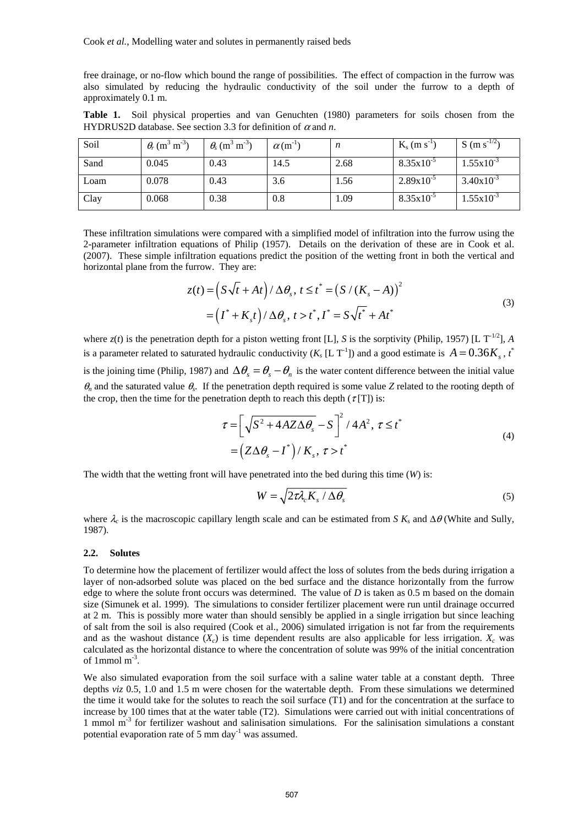free drainage, or no-flow which bound the range of possibilities. The effect of compaction in the furrow was also simulated by reducing the hydraulic conductivity of the soil under the furrow to a depth of approximately 0.1 m.

|                                                                      |  |  |  |  |  | <b>Table 1.</b> Soil physical properties and van Genuchten (1980) parameters for soils chosen from the |  |  |  |  |  |  |  |
|----------------------------------------------------------------------|--|--|--|--|--|--------------------------------------------------------------------------------------------------------|--|--|--|--|--|--|--|
| HYDRUS2D database. See section 3.3 for definition of $\alpha$ and n. |  |  |  |  |  |                                                                                                        |  |  |  |  |  |  |  |

| Soil | $\theta_r$ (m <sup>3</sup> m <sup>-3</sup> ) | $\theta_{\rm s}$ (m <sup>3</sup> m <sup>-3</sup> ) | $\alpha$ (m <sup>-1)</sup> | $\boldsymbol{n}$ | $K_s$ (m s <sup>-1</sup> | S (m s <sup>-1/2</sup> ) |
|------|----------------------------------------------|----------------------------------------------------|----------------------------|------------------|--------------------------|--------------------------|
| Sand | 0.045                                        | 0.43                                               | 14.5                       | 2.68             | $8.35x10^{-5}$           | $1.55 \times 10^{-3}$    |
| Loam | 0.078                                        | 0.43                                               | 3.6                        | 1.56             | $2.89x10^{-5}$           | $3.40x10^{-3}$           |
| Clay | 0.068                                        | 0.38                                               | 0.8                        | 1.09             | $8.35 \times 10^{-5}$    | $1.55 \times 10^{-3}$    |

These infiltration simulations were compared with a simplified model of infiltration into the furrow using the 2-parameter infiltration equations of Philip (1957). Details on the derivation of these are in Cook et al. (2007). These simple infiltration equations predict the position of the wetting front in both the vertical and horizontal plane from the furrow. They are:

$$
z(t) = \left(S\sqrt{t} + At\right) / \Delta\theta_s, t \leq t^* = \left(S/(K_s - A)\right)^2
$$
  
=  $\left(I^* + K_s t\right) / \Delta\theta_s, t > t^*, I^* = S\sqrt{t^*} + At^*$  (3)

where  $z(t)$  is the penetration depth for a piston wetting front [L], *S* is the sorptivity (Philip, 1957) [L T<sup>-1/2</sup>], *A* is a parameter related to saturated hydraulic conductivity  $(K_s [L T^{-1}])$  and a good estimate is  $A = 0.36 K_s$ , *t*<sup>\*</sup>

is the joining time (Philip, 1987) and  $\Delta\theta_s = \theta_s - \theta_n$  is the water content difference between the initial value  $\theta_n$  and the saturated value  $\theta_s$ . If the penetration depth required is some value *Z* related to the rooting depth of the crop, then the time for the penetration depth to reach this depth ( $\tau$ [T]) is:

$$
\tau = \left[ \sqrt{S^2 + 4AZ\Delta\theta_s} - S \right]^2 / 4A^2, \ \tau \le t^*
$$
  
= 
$$
\left( Z\Delta\theta_s - I^* \right) / K_s, \ \tau > t^*
$$
 (4)

The width that the wetting front will have penetrated into the bed during this time (*W*) is:

$$
W = \sqrt{2\tau\lambda_c K_s / \Delta\theta_s}
$$
 (5)

where  $\lambda_c$  is the macroscopic capillary length scale and can be estimated from *S*  $K_s$  and  $\Delta\theta$  (White and Sully, 1987).

# **2.2. Solutes**

To determine how the placement of fertilizer would affect the loss of solutes from the beds during irrigation a layer of non-adsorbed solute was placed on the bed surface and the distance horizontally from the furrow edge to where the solute front occurs was determined. The value of *D* is taken as 0.5 m based on the domain size (Simunek et al. 1999). The simulations to consider fertilizer placement were run until drainage occurred at 2 m. This is possibly more water than should sensibly be applied in a single irrigation but since leaching of salt from the soil is also required (Cook et al., 2006) simulated irrigation is not far from the requirements and as the washout distance  $(X_c)$  is time dependent results are also applicable for less irrigation.  $X_c$  was calculated as the horizontal distance to where the concentration of solute was 99% of the initial concentration of 1mmol  $m<sup>-3</sup>$ .

We also simulated evaporation from the soil surface with a saline water table at a constant depth. Three depths *viz* 0.5, 1.0 and 1.5 m were chosen for the watertable depth. From these simulations we determined the time it would take for the solutes to reach the soil surface (T1) and for the concentration at the surface to increase by 100 times that at the water table (T2). Simulations were carried out with initial concentrations of 1 mmol m<sup>-3</sup> for fertilizer washout and salinisation simulations. For the salinisation simulations a constant potential evaporation rate of 5 mm day $^{-1}$  was assumed.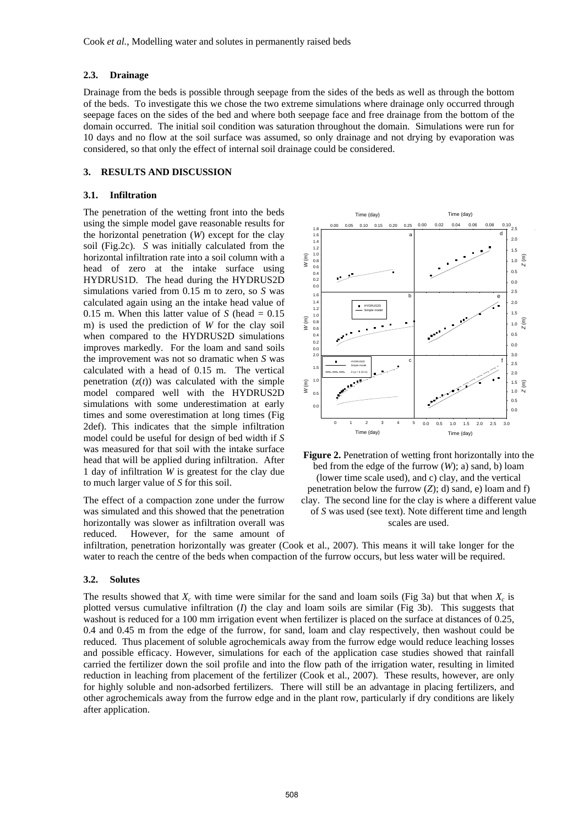# **2.3. Drainage**

Drainage from the beds is possible through seepage from the sides of the beds as well as through the bottom of the beds. To investigate this we chose the two extreme simulations where drainage only occurred through seepage faces on the sides of the bed and where both seepage face and free drainage from the bottom of the domain occurred. The initial soil condition was saturation throughout the domain. Simulations were run for 10 days and no flow at the soil surface was assumed, so only drainage and not drying by evaporation was considered, so that only the effect of internal soil drainage could be considered.

# **3. RESULTS AND DISCUSSION**

#### **3.1. Infiltration**

The penetration of the wetting front into the beds using the simple model gave reasonable results for the horizontal penetration (*W*) except for the clay soil (Fig.2c). *S* was initially calculated from the horizontal infiltration rate into a soil column with a head of zero at the intake surface using HYDRUS1D. The head during the HYDRUS2D simulations varied from 0.15 m to zero, so *S* was calculated again using an the intake head value of 0.15 m. When this latter value of  $S$  (head  $= 0.15$ ) m) is used the prediction of *W* for the clay soil when compared to the HYDRUS2D simulations improves markedly. For the loam and sand soils the improvement was not so dramatic when *S* was calculated with a head of 0.15 m. The vertical penetration  $(z(t))$  was calculated with the simple model compared well with the HYDRUS2D simulations with some underestimation at early times and some overestimation at long times (Fig 2def). This indicates that the simple infiltration model could be useful for design of bed width if *S* was measured for that soil with the intake surface head that will be applied during infiltration. After 1 day of infiltration *W* is greatest for the clay due to much larger value of *S* for this soil.

The effect of a compaction zone under the furrow was simulated and this showed that the penetration horizontally was slower as infiltration overall was reduced. However, for the same amount of





infiltration, penetration horizontally was greater (Cook et al., 2007). This means it will take longer for the water to reach the centre of the beds when compaction of the furrow occurs, but less water will be required.

#### **3.2. Solutes**

The results showed that  $X_c$  with time were similar for the sand and loam soils (Fig 3a) but that when  $X_c$  is plotted versus cumulative infiltration (*I*) the clay and loam soils are similar (Fig 3b). This suggests that washout is reduced for a 100 mm irrigation event when fertilizer is placed on the surface at distances of 0.25, 0.4 and 0.45 m from the edge of the furrow, for sand, loam and clay respectively, then washout could be reduced. Thus placement of soluble agrochemicals away from the furrow edge would reduce leaching losses and possible efficacy. However, simulations for each of the application case studies showed that rainfall carried the fertilizer down the soil profile and into the flow path of the irrigation water, resulting in limited reduction in leaching from placement of the fertilizer (Cook et al., 2007). These results, however, are only for highly soluble and non-adsorbed fertilizers. There will still be an advantage in placing fertilizers, and other agrochemicals away from the furrow edge and in the plant row, particularly if dry conditions are likely after application.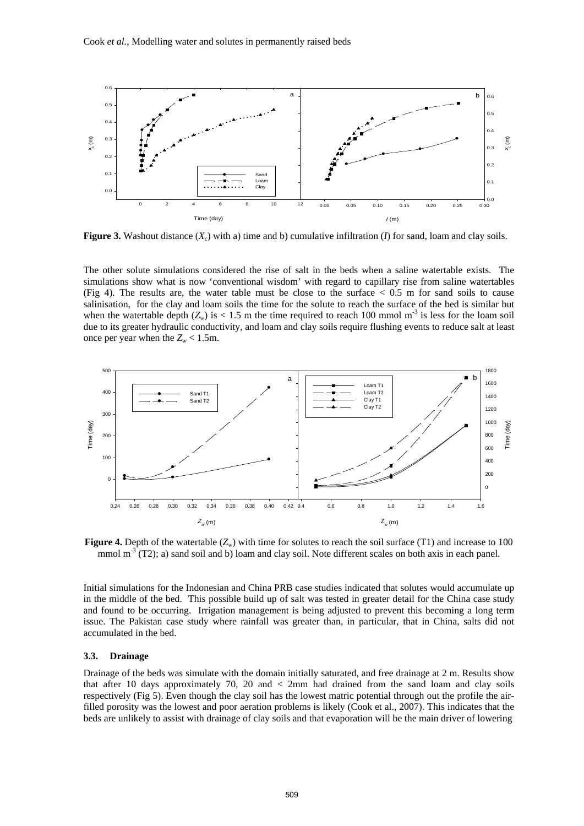

**Figure 3.** Washout distance  $(X_c)$  with a) time and b) cumulative infiltration (*I*) for sand, loam and clay soils.

The other solute simulations considered the rise of salt in the beds when a saline watertable exists. The simulations show what is now 'conventional wisdom' with regard to capillary rise from saline watertables (Fig 4). The results are, the water table must be close to the surface  $\lt$  0.5 m for sand soils to cause salinisation, for the clay and loam soils the time for the solute to reach the surface of the bed is similar but when the watertable depth  $(Z_w)$  is < 1.5 m the time required to reach 100 mmol m<sup>-3</sup> is less for the loam soil due to its greater hydraulic conductivity, and loam and clay soils require flushing events to reduce salt at least once per year when the  $Z_w < 1.5$ m.



**Figure 4.** Depth of the watertable (*Zw*) with time for solutes to reach the soil surface (T1) and increase to 100 mmol  $m<sup>3</sup>$  (T2); a) sand soil and b) loam and clay soil. Note different scales on both axis in each panel.

Initial simulations for the Indonesian and China PRB case studies indicated that solutes would accumulate up in the middle of the bed. This possible build up of salt was tested in greater detail for the China case study and found to be occurring. Irrigation management is being adjusted to prevent this becoming a long term issue. The Pakistan case study where rainfall was greater than, in particular, that in China, salts did not accumulated in the bed.

## **3.3. Drainage**

Drainage of the beds was simulate with the domain initially saturated, and free drainage at 2 m. Results show that after 10 days approximately 70, 20 and < 2mm had drained from the sand loam and clay soils respectively (Fig 5). Even though the clay soil has the lowest matric potential through out the profile the airfilled porosity was the lowest and poor aeration problems is likely (Cook et al., 2007). This indicates that the beds are unlikely to assist with drainage of clay soils and that evaporation will be the main driver of lowering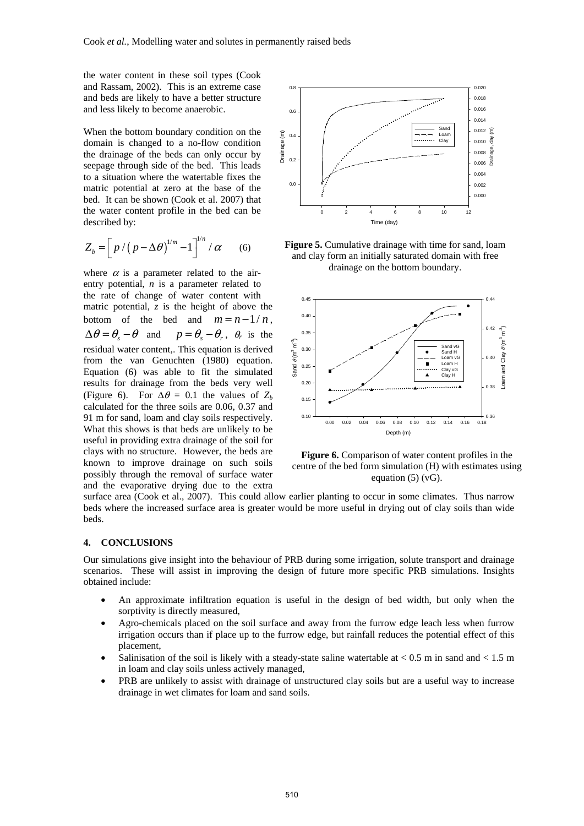the water content in these soil types (Cook and Rassam, 2002). This is an extreme case and beds are likely to have a better structure and less likely to become anaerobic.

When the bottom boundary condition on the domain is changed to a no-flow condition the drainage of the beds can only occur by seepage through side of the bed. This leads to a situation where the watertable fixes the matric potential at zero at the base of the bed. It can be shown (Cook et al. 2007) that the water content profile in the bed can be described by:

$$
Z_b = \left[ p / \left( p - \Delta \theta \right)^{1/m} - 1 \right]^{1/n} / \alpha \qquad (6)
$$

where  $\alpha$  is a parameter related to the airentry potential, *n* is a parameter related to the rate of change of water content with matric potential, *z* is the height of above the bottom of the bed and  $m = n - 1/n$ ,  $\Delta \theta = \theta_{\rm s} - \theta$  and  $p = \theta_{\rm s} - \theta_{\rm r}$ ,  $\theta_{\rm r}$  is the residual water content,. This equation is derived from the van Genuchten (1980) equation. Equation (6) was able to fit the simulated results for drainage from the beds very well (Figure 6). For  $\Delta \theta = 0.1$  the values of  $Z_b$ calculated for the three soils are 0.06, 0.37 and 91 m for sand, loam and clay soils respectively. What this shows is that beds are unlikely to be useful in providing extra drainage of the soil for clays with no structure. However, the beds are known to improve drainage on such soils possibly through the removal of surface water and the evaporative drying due to the extra



**Figure 5.** Cumulative drainage with time for sand, loam and clay form an initially saturated domain with free drainage on the bottom boundary.



**Figure 6.** Comparison of water content profiles in the centre of the bed form simulation (H) with estimates using equation  $(5)$  (vG).

surface area (Cook et al., 2007). This could allow earlier planting to occur in some climates. Thus narrow beds where the increased surface area is greater would be more useful in drying out of clay soils than wide beds.

# **4. CONCLUSIONS**

Our simulations give insight into the behaviour of PRB during some irrigation, solute transport and drainage scenarios. These will assist in improving the design of future more specific PRB simulations. Insights obtained include:

- An approximate infiltration equation is useful in the design of bed width, but only when the sorptivity is directly measured,
- Agro-chemicals placed on the soil surface and away from the furrow edge leach less when furrow irrigation occurs than if place up to the furrow edge, but rainfall reduces the potential effect of this placement,
- Salinisation of the soil is likely with a steady-state saline watertable at  $< 0.5$  m in sand and  $< 1.5$  m in loam and clay soils unless actively managed,
- PRB are unlikely to assist with drainage of unstructured clay soils but are a useful way to increase drainage in wet climates for loam and sand soils.